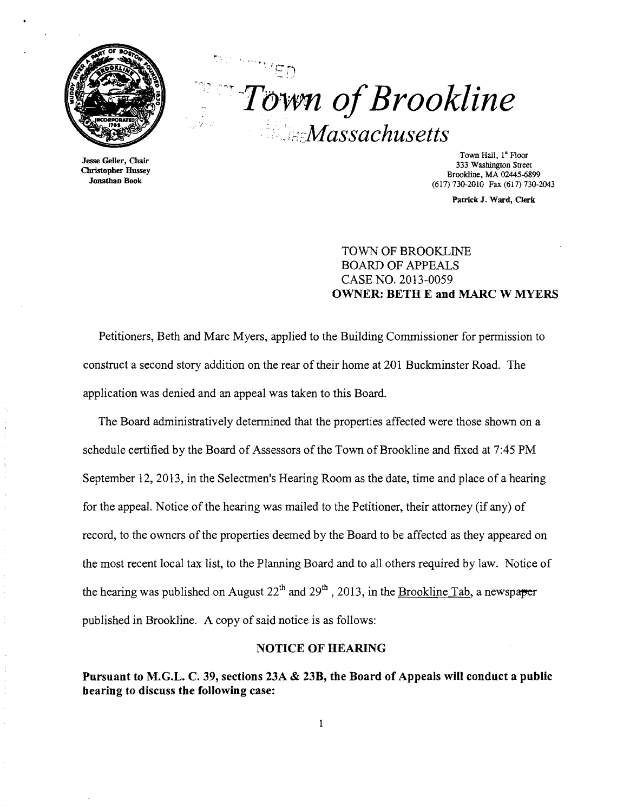

Jesse Geller, Chair Christopber Bussey Jonathan Book

 $"$  .  $"$   $\in$   $\mathbb{R}$   $\in$  $\mathbb{F}_1$ .' Town of Brookline "'-*idcMassachusetts* 

> Town Hall, 1" Floor 333 Washington Street Brookline, MA 02445-6899 (617) 730-2010 Fax (617) 730-2043

> > Patrick J. Ward, Clerk

TOWN OF BROOKLINE BOARD OF APPEALS CASE NO. 2013-0059 OWNER: BETH E and MARC W MYERS

Petitioners, Beth and Marc Myers, applied to the Building Commissioner for permission to construct a second story addition on the rear of their home at 201 Buckminster Road. The application was denied and an appeal was taken to this Board.

The Board administratively determined that the properties affected were those shown on a schedule certified by the Board of Assessors of the Town of Brookline and fixed at 7:45 PM September 12, 2013, in the Selectmen's Hearing Room as the date, time and place of a hearing for the appeal. Notice of the hearing was mailed to the Petitioner, their attorney (if any) of record, to the owners of the properties deemed by the Board to be affected as they appeared on the most recent local tax list, to the Planning Board and to all others required by law. Notice of the hearing was published on August  $22<sup>th</sup>$  and  $29<sup>th</sup>$ , 2013, in the Brookline Tab, a newspaper published in Brookline. A copy of said notice is as follows:

### NOTICE OF HEARING

Pursuant to M.G.L. C. 39, sections 23A & 23B, the Board of Appeals will conduct a public hearing to discuss the following case:

 $\mathbf{I}$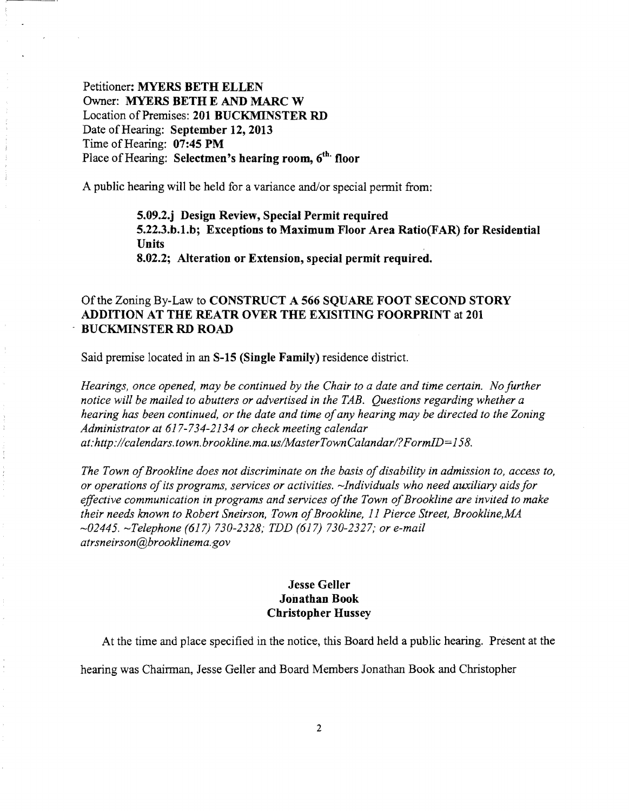Petitioner: MYERS BETH ELLEN Owner: MYERS BETH E AND MARC W Location of Premises: 201 BUCKMINSTER RD Date of Hearing: September 12, 2013 Time of Hearing: 07:45 PM Place of Hearing: Selectmen's hearing room, 6<sup>th.</sup> floor

A public hearing will be held for a variance and/or special permit from:

5.09.2.j Design Review, Special Permit required 5.22.3.b.1.b; Exceptions to Maximum Floor Area Ratio(FAR) for Residential Units 8.02.2; Alteration or Extension, special permit required.

# Of the Zoning By-Law to CONSTRUCT A 566 SQUARE FOOT SECOND STORY ADDITION AT THE REATR OVER THE EXISITING FOORPRINT at 201 . BUCKMINSTER RD ROAD

Said premise located in an S-15 (Single Family) residence district.

*Hearings, once opened, may be continued by the Chair to a date and time certain. No further notice will be mailed to abutters or advertised in the TAB. Questions regarding whether a hearing has been continued, or the date and time ofany hearing may be directed to the Zoning Administrator at* 617-734-2134 *or check meeting calendar*  at: http://calendars.town.brookline.ma.us/MasterTownCalandar/? FormID=158.

The Town of Brookline does not discriminate on the basis of disability in admission to, access to, *or operations ofits programs, services or activities. -Individuals who need auxiliary aids for*  effective communication in programs and services of the Town of Brookline are invited to make *their needs known to Robert Sneirson, Town ofBrookline,* 11 *Pierce Street, Brookline,MA -02445. -Telephone* (617) *730-2328; TDD* (617) *730-2327; or e-mail atrsneirson@brooklinema.gov* 

# Jesse Geller Jonathan Book Christopher Hussey

At the time and place specified in the notice, this Board held a public hearing. Present at the

hearing was Chainnan, Jesse Geller and Board Members Jonathan Book and Christopher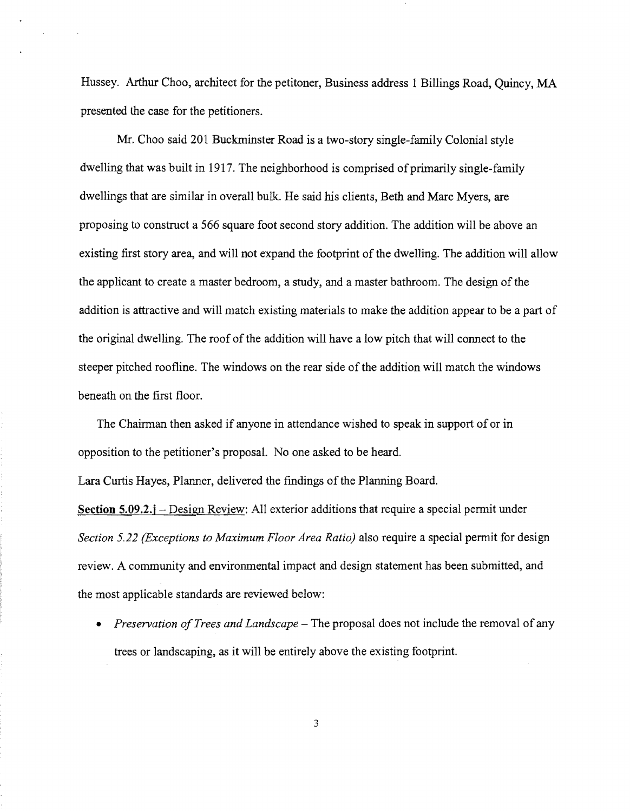Hussey. Arthur Choo, architect for the petitoner, Business address 1 Billings Road, Quincy, MA presented the case for the petitioners.

Mr. Choo said 201 Buckminster Road is a two-story single-family Colonial style dwelling that was built in 1917. The neighborhood is comprised of primarily single-family dwellings that are similar in overall bulk. He said his clients, Beth and Marc Myers, are proposing to construct a 566 square foot second story addition. The addition will be above an existing first story area, and will not expand the footprint of the dwelling. The addition will allow the applicant to create a master bedroom, a study, and a master bathroom. The design of the addition is attractive and will match existing materials to make the addition appear to be a part of the original dwelling. The roof of the addition will have a low pitch that will connect to the steeper pitched roofline. The windows on the rear side of the addition will match the windows beneath on the first floor.

The Chairman then asked if anyone in attendance wished to speak in support ofor in opposition to the petitioner's proposal. No one asked to be heard.

Lara Curtis Hayes, Planner, delivered the findings of the Planning Board.

Section 5.09.2.j – Design Review: All exterior additions that require a special permit under *Section* 5.22 *(Exceptions to Maximum Floor Area Ratio)* also require a special permit for design review. A community and environmental impact and design statement has been submitted, and the most applicable standards are reviewed below:

• *Preservation of Trees and Landscape* – The proposal does not include the removal of any trees or landscaping, as it will be entirely above the existing footprint.

3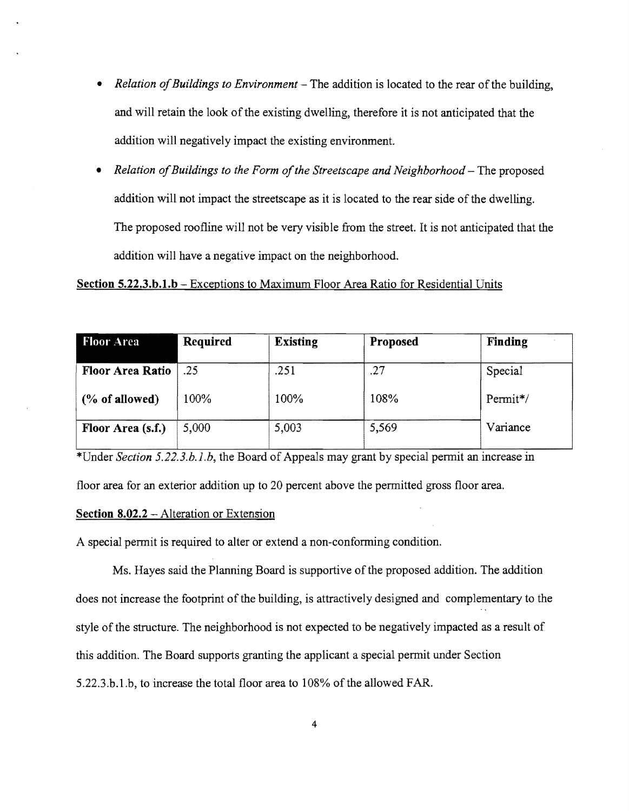- *Relation of Buildings to Environment* The addition is located to the rear of the building, and will retain the look of the existing dwelling, therefore it is not anticipated that the addition will negatively impact the existing environment.
- *Relation of Buildings to the Form of the Streetscape and Neighborhood* The proposed addition will not impact the streetscape as it is located to the rear side of the dwelling. The proposed roofline will not be very visible from the street. It is not anticipated that the addition will have a negative impact on the neighborhood.

### Section 5.22.3.b.1.b – Exceptions to Maximum Floor Area Ratio for Residential Units

| <b>Floor Area</b>       | <b>Required</b> | <b>Existing</b> | Proposed | Finding  |
|-------------------------|-----------------|-----------------|----------|----------|
| <b>Floor Area Ratio</b> | .25             | .251            | .27      | Special  |
| $(\%$ of allowed)       | 100%            | 100%            | 108%     | Permit*/ |
| Floor Area (s.f.)       | 5,000           | 5,003           | 5,569    | Variance |

\*Under *Section 5.22.3.b.l.b,* the Board of Appeals may grant by special permit an increase in

floor area for an exterior addition up to 20 percent above the permitted gross floor area.

#### Section 8.02.2 - Alteration or Extension

A special permit is required to alter or extend a non-conforming condition.

Ms. Hayes said the Planning Board is supportive of the proposed addition. The addition does not increase the footprint of the building, is attractively designed and complementary to the style of the structure. The neighborhood is not expected to be negatively impacted as a result of this addition. The Board supports granting the applicant a special permit under Section 5.22.3.b.l.b, to increase the total floor area to 108% of the allowed FAR.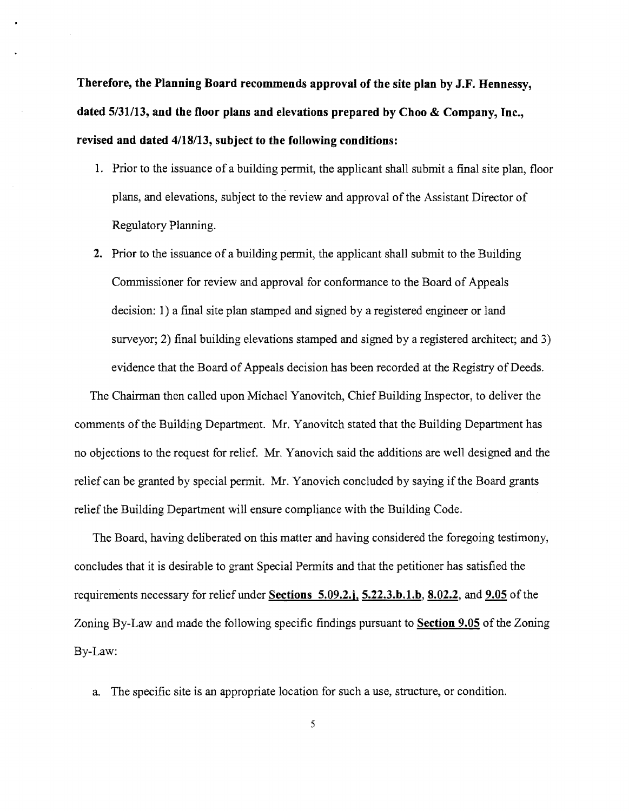**Therefore, the Planning Board recommends approval of the site plan by J.F. Hennessy, dated 5/31113, and the floor plans and elevations prepared by Choo & Company, Inc., revised and dated 4/18/13, subject to the following conditions:** 

- 1. Prior to the issuance of a building permit, the applicant shall submit a final site plan, floor plans, and elevations, subject to the review and approval of the Assistant Director of Regulatory Planning.
- **2.** Prior to the issuance of a building permit, the applicant shall submit to the Building Commissioner for review and approval for conformance to the Board of Appeals decision: 1) a final site plan stamped and signed by a registered engineer or land surveyor; 2) final building elevations stamped and signed by a registered architect; and 3) evidence that the Board of Appeals decision has been recorded at the Registry of Deeds.

The Chairman then called upon Michael Yanovitch, Chief Building Inspector, to deliver the comments of the Building Department. Mr. Yanovitch stated that the Building Department has no objections to the request for relief. Mr. Yanovich said the additions are well designed and the relief can be granted by special pennit. Mr. Yanovich concluded by saying if the Board grants relief the Building Department will ensure compliance with the Building Code.

The Board, having deliberated on this matter and having considered the foregoing testimony, concludes that it is desirable to grant Special Pennits and that the petitioner has satisfied the requirements necessary for relief under **Sections 5.09.2.j, 5.22.3.b.1.b, 8.02.2, and 9.05** ofthe Zoning By-Law and made the following specific findings pursuant to **Section 9.05** ofthe Zoning By-Law:

a. The specific site is an appropriate location for such a use, structure, or condition.